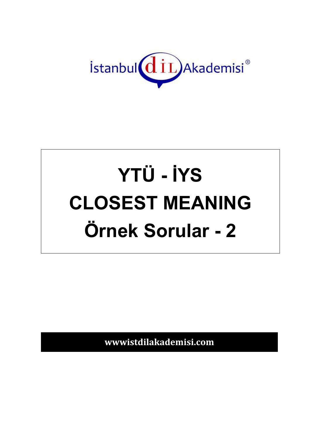

# YTÜ - İYS **CLOSEST MEANING** Örnek Sorular - 2

wwwistdilakademisi.com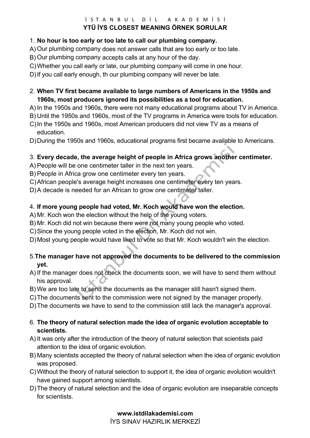#### $i$  STANBUL DIL AKADEMISI **YTÜ İYS CLOSEST MEANING ÖRNEK SORULAR**

#### 1. **No hour is too early or too late to call our plumbing company.**

- A) Our plumbing company does not answer calls that are too early or too late.
- B) Our plumbing company accepts calls at any hour of the day.
- C) Whether you call early or late, our plumbing company will come in one hour.

D) If you call early enough, th our plumbing company will never be late.

- 2. **When TV first became available to large numbers of Americans in the 1950s and 1960s, most producers ignored its possibilities as a tool for education.**
- A) In the 1950s and 1960s, there were not many educational programs about TV in America.
- B) Until the 1950s and 1960s, most of the TV programs in America were tools for education.
- C) In the 1950s and 1960s, most American producers did not view TV as a means of education.
- D) During the 1950s and 1960s, educational programs first became available to Americans.

# 3. **Every decade, the average height of people in Africa grows another centimeter.**

- A) People will be one centimeter taller in the next ten years.
- B) People in Africa grow one centimeter every ten years.
- C) African people's average height increases one centimeter every ten years.
- D) A decade is needed for an African to grow one centimeter taller.

# 4. **If more young people had voted, Mr. Koch would have won the election.**

- A) Mr. Koch won the election without the help of the young voters.
- B) Mr. Koch did not win because there were not many young people who voted.
- C) Since the young people voted in the election, Mr. Koch did not win.
- D) Most young people would have liked to vote so that Mr. Koch wouldn't win the election.

# 5.**The manager have not approved the documents to be delivered to the commission yet.**

- A) If the manager does not check the documents soon, we will have to send them without his approval.
- B) We are too late to send the documents as the manager still hasn't signed them.
- C) The documents sent to the commission were not signed by the manager properly.
- D) The documents we have to send to the commission still lack the manager's approval.

#### 6. **The theory of natural selection made the idea of organic evolution acceptable to scientists.**

- A) It was only after the introduction of the theory of natural selection that scientists paid attention to the idea of organic evolution.
- B) Many scientists accepted the theory of natural selection when the idea of organic evolution was proposed.
- C) Without the theory of natural selection to support it, the idea of organic evolution wouldn't have gained support among scientists.
- D) The theory of natural selection and the idea of organic evolution are inseparable concepts for scientists.

# **www.istdilakademisi.com**

İYS SINAV HAZIRLIK MERKEZİ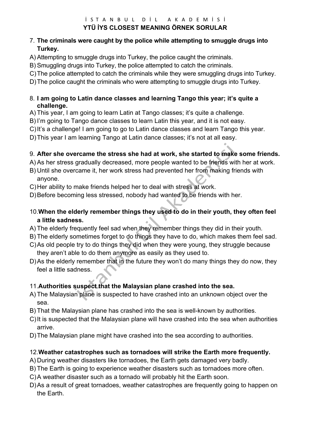#### $i$  STANBUL DIL AKADEMISI **YTÜ İYS CLOSEST MEANING ÖRNEK SORULAR**

# 7. **The criminals were caught by the police while attempting to smuggle drugs into Turkey.**

- A) Attempting to smuggle drugs into Turkey, the police caught the criminals.
- B) Smuggling drugs into Turkey, the police attempted to catch the criminals.
- C) The police attempted to catch the criminals while they were smuggling drugs into Turkey.
- D) The police caught the criminals who were attempting to smuggle drugs into Turkey.

#### 8. **I am going to Latin dance classes and learning Tango this year; it's quite a challenge.**

- A) This year, I am going to learn Latin at Tango classes; it's quite a challenge.
- B) I'm going to Tango dance classes to learn Latin this year, and it is not easy.
- C) It's a challenge! I am going to go to Latin dance classes and learn Tango this year.
- D) This year I am learning Tango at Latin dance classes; it's not at all easy.

# 9. **After she overcame the stress she had at work, she started to make some friends.**

- A) As her stress gradually decreased, more people wanted to be friends with her at work.
- B) Until she overcame it, her work stress had prevented her from making friends with anyone.
- C) Her ability to make friends helped her to deal with stress at work.
- D) Before becoming less stressed, nobody had wanted to be friends with her.
- 10.**When the elderly remember things they used to do in their youth, they often feel a little sadness.**
- A) The elderly frequently feel sad when they remember things they did in their youth.
- B) The elderly sometimes forget to do things they have to do, which makes them feel sad.
- C) As old people try to do things they did when they were young, they struggle because they aren't able to do them anymore as easily as they used to.
- D) As the elderly remember that in the future they won't do many things they do now, they feel a little sadness.

# 11.**Authorities suspect that the Malaysian plane crashed into the sea.**

- A) The Malaysian plane is suspected to have crashed into an unknown object over the sea.
- B) That the Malaysian plane has crashed into the sea is well-known by authorities.
- C) It is suspected that the Malaysian plane will have crashed into the sea when authorities arrive.
- D) The Malaysian plane might have crashed into the sea according to authorities.

# 12.**Weather catastrophes such as tornadoes will strike the Earth more frequently.**

- A) During weather disasters like tornadoes, the Earth gets damaged very badly.
- B) The Earth is going to experience weather disasters such as tornadoes more often.
- C) A weather disaster such as a tornado will probably hit the Earth soon.
- D) As a result of great tornadoes, weather catastrophes are frequently going to happen on the Earth.